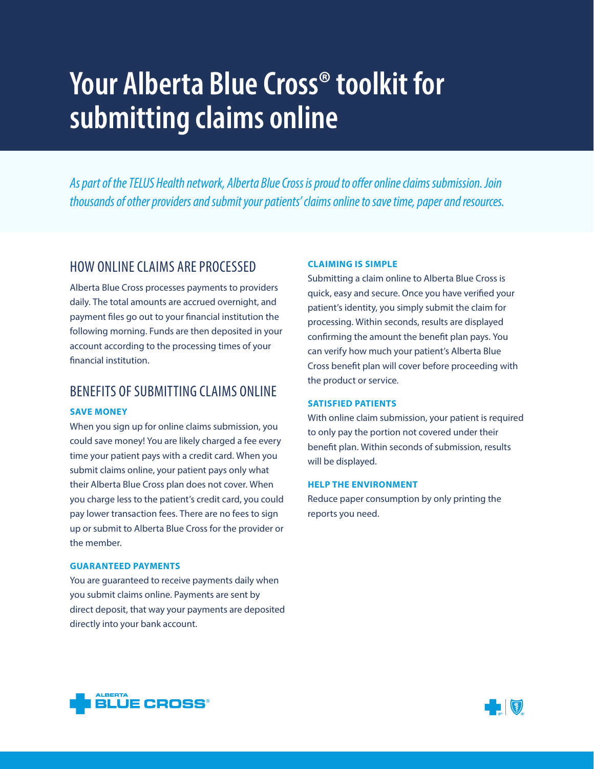# **Your Alberta Blue Cross® toolkit for submitting claims online**

*As part of the TELUS Health network, Alberta Blue Cross is proud to offer online claims submission. Join thousands of other providers and submit your patients' claims online to save time, paper and resources.*

### HOW ONLINE CLAIMS ARE PROCESSED

Alberta Blue Cross processes payments to providers daily. The total amounts are accrued overnight, and payment files go out to your financial institution the following morning. Funds are then deposited in your account according to the processing times of your financial institution.

## BENEFITS OF SUBMITTING CLAIMS ONLINE

#### **SAVE MONEY**

When you sign up for online claims submission, you could save money! You are likely charged a fee every time your patient pays with a credit card. When you submit claims online, your patient pays only what their Alberta Blue Cross plan does not cover. When you charge less to the patient's credit card, you could pay lower transaction fees. There are no fees to sign up or submit to Alberta Blue Cross for the provider or the member.

#### **GUARANTEED PAYMENTS**

You are guaranteed to receive payments daily when you submit claims online. Payments are sent by direct deposit, that way your payments are deposited directly into your bank account.

#### **CLAIMING IS SIMPLE**

Submitting a claim online to Alberta Blue Cross is quick, easy and secure. Once you have verified your patient's identity, you simply submit the claim for processing. Within seconds, results are displayed confirming the amount the benefit plan pays. You can verify how much your patient's Alberta Blue Cross benefit plan will cover before proceeding with the product or service.

#### **SATISFIED PATIENTS**

With online claim submission, your patient is required to only pay the portion not covered under their benefit plan. Within seconds of submission, results will be displayed.

#### **HELP THE ENVIRONMENT**

Reduce paper consumption by only printing the reports you need.